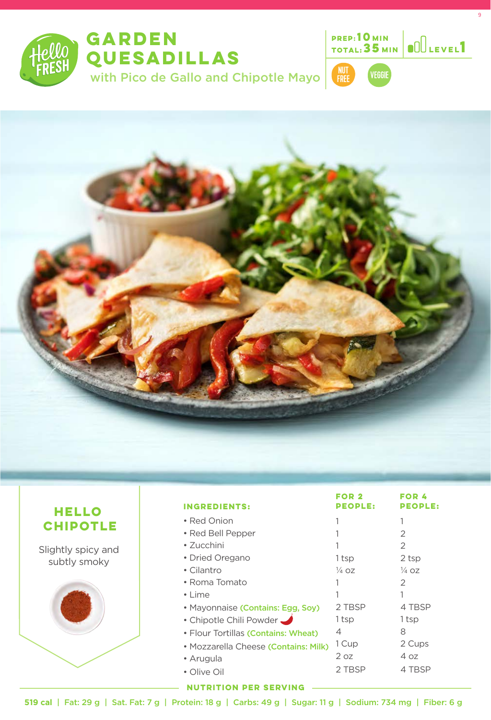





9





| HELLO                              | <b>INGREDIENTS:</b>                  | <b>FOR 2</b><br><b>PEOPLE:</b> | <b>FOR 4</b><br><b>PEOPLE:</b> |
|------------------------------------|--------------------------------------|--------------------------------|--------------------------------|
| <b>CHIPOTLE</b>                    | • Red Onion                          |                                |                                |
|                                    | • Red Bell Pepper                    |                                | $\mathcal{P}$                  |
| Slightly spicy and<br>subtly smoky | • Zucchini                           |                                | 2                              |
|                                    | • Dried Oregano                      | 1 tsp                          | 2 tsp                          |
|                                    | • Cilantro                           | $\frac{1}{4}$ OZ               | $\frac{1}{4}$ OZ               |
|                                    | • Roma Tomato                        |                                | $\mathcal{P}$                  |
|                                    | $\cdot$ Lime                         |                                |                                |
|                                    | • Mayonnaise (Contains: Egg, Soy)    | 2 TBSP                         | 4 TBSP                         |
|                                    | • Chipotle Chili Powder              | 1 tsp                          | 1 tsp                          |
|                                    | • Flour Tortillas (Contains: Wheat)  | 4                              | 8                              |
|                                    | · Mozzarella Cheese (Contains: Milk) | 1 Cup                          | 2 Cups                         |
|                                    | • Arugula                            | 2 oz                           | 4 oz                           |
|                                    | • Olive Oil                          | 2 TBSP                         | 4 TBSP                         |

**NUTRITION PER SERVING**